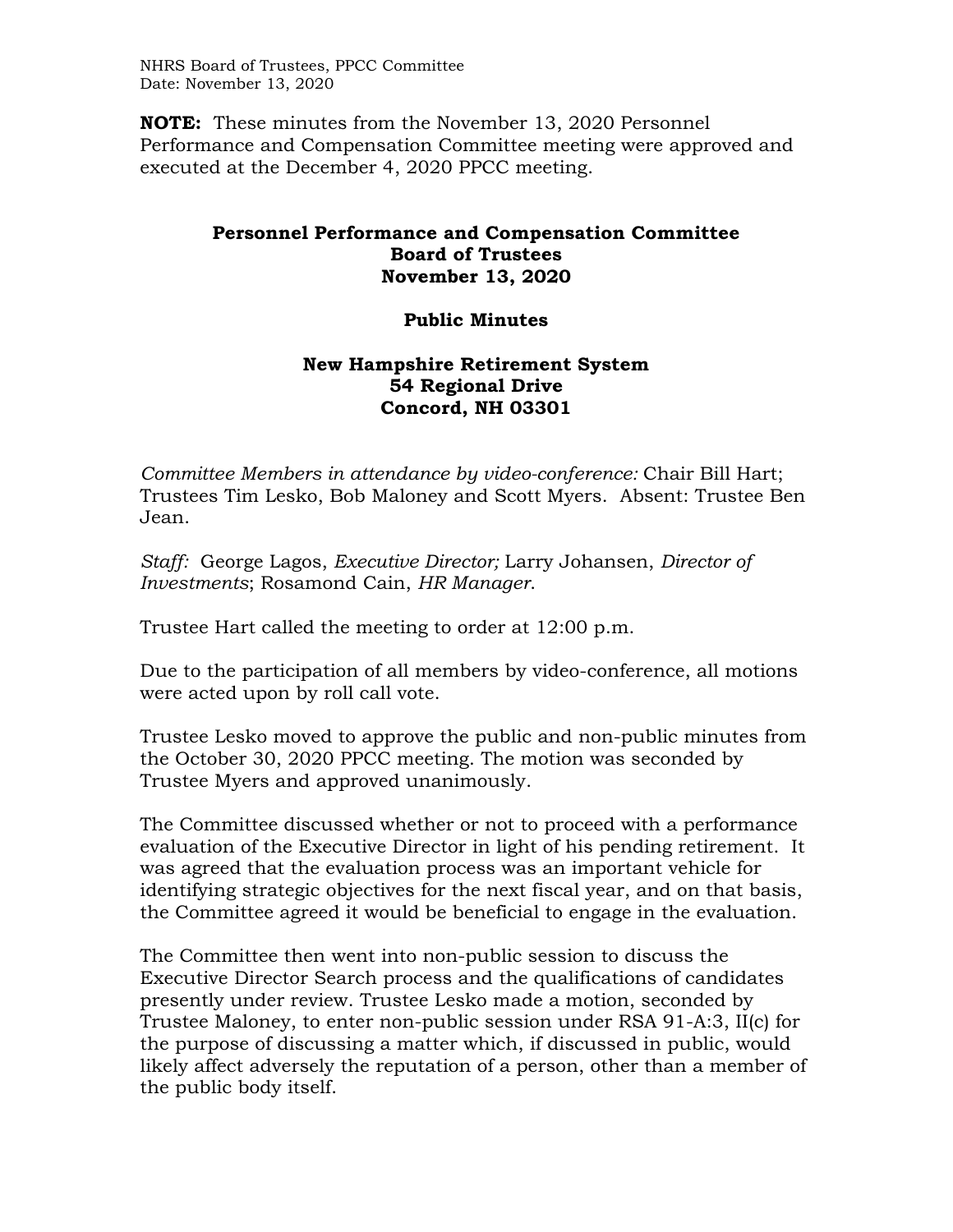NHRS Board of Trustees, PPCC Committee Date: November 13, 2020

**NOTE:** These minutes from the November 13, 2020 Personnel Performance and Compensation Committee meeting were approved and executed at the December 4, 2020 PPCC meeting.

## **Personnel Performance and Compensation Committee Board of Trustees November 13, 2020**

## **Public Minutes**

## **New Hampshire Retirement System 54 Regional Drive Concord, NH 03301**

*Committee Members in attendance by video-conference:* Chair Bill Hart; Trustees Tim Lesko, Bob Maloney and Scott Myers. Absent: Trustee Ben Jean.

*Staff:* George Lagos, *Executive Director;* Larry Johansen, *Director of Investments*; Rosamond Cain, *HR Manager*.

Trustee Hart called the meeting to order at 12:00 p.m.

Due to the participation of all members by video-conference, all motions were acted upon by roll call vote.

Trustee Lesko moved to approve the public and non-public minutes from the October 30, 2020 PPCC meeting. The motion was seconded by Trustee Myers and approved unanimously.

The Committee discussed whether or not to proceed with a performance evaluation of the Executive Director in light of his pending retirement. It was agreed that the evaluation process was an important vehicle for identifying strategic objectives for the next fiscal year, and on that basis, the Committee agreed it would be beneficial to engage in the evaluation.

The Committee then went into non-public session to discuss the Executive Director Search process and the qualifications of candidates presently under review. Trustee Lesko made a motion, seconded by Trustee Maloney, to enter non-public session under RSA 91-A:3, II(c) for the purpose of discussing a matter which, if discussed in public, would likely affect adversely the reputation of a person, other than a member of the public body itself.